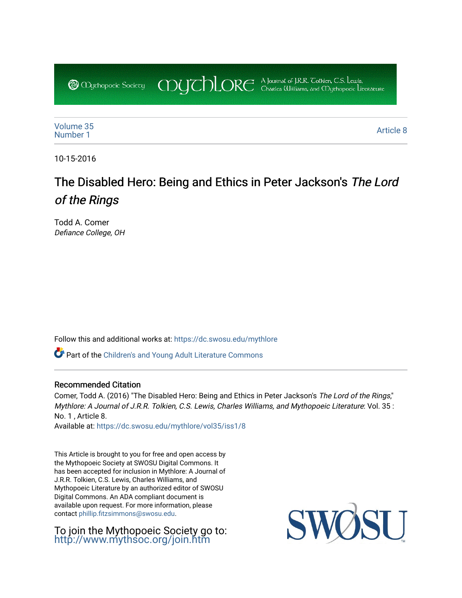COUCHORE A Journal of J.R.R. Colkien, C.S. Lewis, **@** Oychopoeic Sociecy

[Volume 35](https://dc.swosu.edu/mythlore/vol35) [Number 1](https://dc.swosu.edu/mythlore/vol35/iss1) Article 8<br>Number 1 Article 8

10-15-2016

# The Disabled Hero: Being and Ethics in Peter Jackson's The Lord of the Rings

Todd A. Comer Defiance College, OH

Follow this and additional works at: [https://dc.swosu.edu/mythlore](https://dc.swosu.edu/mythlore?utm_source=dc.swosu.edu%2Fmythlore%2Fvol35%2Fiss1%2F8&utm_medium=PDF&utm_campaign=PDFCoverPages) 

Part of the [Children's and Young Adult Literature Commons](http://network.bepress.com/hgg/discipline/1289?utm_source=dc.swosu.edu%2Fmythlore%2Fvol35%2Fiss1%2F8&utm_medium=PDF&utm_campaign=PDFCoverPages) 

### Recommended Citation

Comer, Todd A. (2016) "The Disabled Hero: Being and Ethics in Peter Jackson's The Lord of the Rings," Mythlore: A Journal of J.R.R. Tolkien, C.S. Lewis, Charles Williams, and Mythopoeic Literature: Vol. 35 : No. 1 , Article 8.

Available at: [https://dc.swosu.edu/mythlore/vol35/iss1/8](https://dc.swosu.edu/mythlore/vol35/iss1/8?utm_source=dc.swosu.edu%2Fmythlore%2Fvol35%2Fiss1%2F8&utm_medium=PDF&utm_campaign=PDFCoverPages) 

This Article is brought to you for free and open access by the Mythopoeic Society at SWOSU Digital Commons. It has been accepted for inclusion in Mythlore: A Journal of J.R.R. Tolkien, C.S. Lewis, Charles Williams, and Mythopoeic Literature by an authorized editor of SWOSU Digital Commons. An ADA compliant document is available upon request. For more information, please contact [phillip.fitzsimmons@swosu.edu.](mailto:phillip.fitzsimmons@swosu.edu)

To join the Mythopoeic Society go to: <http://www.mythsoc.org/join.htm>

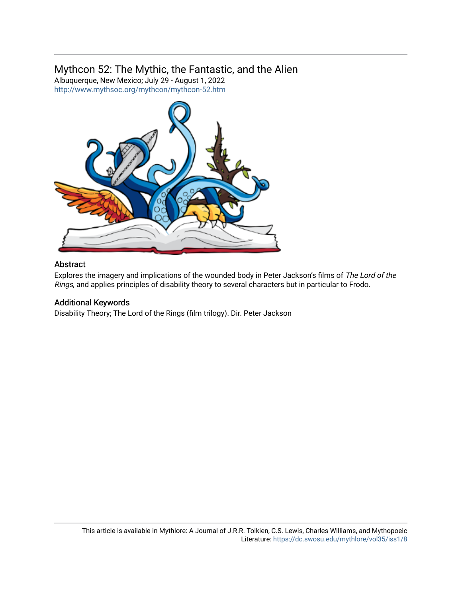# Mythcon 52: The Mythic, the Fantastic, and the Alien

Albuquerque, New Mexico; July 29 - August 1, 2022 <http://www.mythsoc.org/mythcon/mythcon-52.htm>



## Abstract

Explores the imagery and implications of the wounded body in Peter Jackson's films of The Lord of the Rings, and applies principles of disability theory to several characters but in particular to Frodo.

# Additional Keywords

Disability Theory; The Lord of the Rings (film trilogy). Dir. Peter Jackson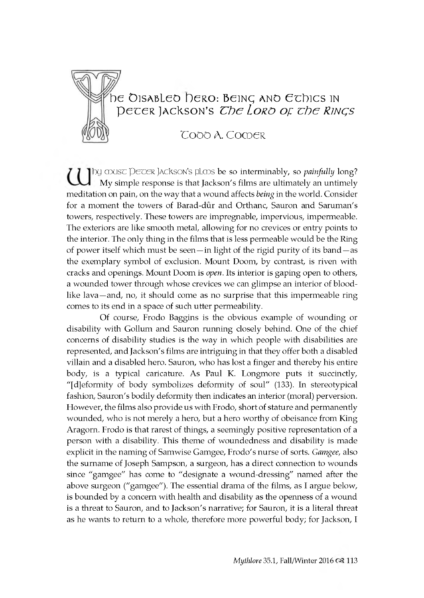

# $\mathrm{D} \in \mathcal{D}$  isabled  $\mathrm{D} \in \mathcal{D}$  being and Echics in *pecer Jackson's The Loro of the RINGS*

# TOOO A. COMER

I by musc Decer Jackson's plops be so interminably, so *painfully* long? My simple response is that Jackson's films are ultimately an untimely meditation on pain, on the way that a wound affects *being* in the world. Consider for a moment the towers of Barad-dûr and Orthanc, Sauron and Saruman's towers, respectively. These towers are impregnable, impervious, impermeable. The exteriors are like smooth metal, allowing for no crevices or entry points to the interior. The only thing in the films that is less permeable would be the Ring of power itself which must be seen—in light of the rigid purity of its band—as the exemplary symbol of exclusion. Mount Doom, by contrast, is riven with cracks and openings. Mount Doom is *open*. Its interior is gaping open to others, a wounded tower through whose crevices we can glimpse an interior of bloodlike lava —and, no, it should come as no surprise that this impermeable ring comes to its end in a space of such utter permeability.

Of course, Frodo Baggins is the obvious example of wounding or disability with Gollum and Sauron running closely behind. One of the chief concerns of disability studies is the way in which people with disabilities are represented, and Jackson's films are intriguing in that they offer both a disabled villain and a disabled hero. Sauron, who has lost a finger and thereby his entire body, is a typical caricature. As Paul K. Longmore puts it succinctly, "[d]eformity of body symbolizes deformity of soul" (133). In stereotypical fashion, Sauron's bodily deformity then indicates an interior (moral) perversion. However, the films also provide us with Frodo, short of stature and permanently wounded, who is not merely a hero, but a hero worthy of obeisance from King Aragorn. Frodo is that rarest of things, a seemingly positive representation of a person with a disability. This theme of woundedness and disability is made explicit in the naming of Samwise Gamgee, Frodo's nurse of sorts. *Gamgee*, also the surname of Joseph Sampson, a surgeon, has a direct connection to wounds since "gamgee" has come to "designate a wound-dressing" named after the above surgeon ("gamgee"). The essential drama of the films, as I argue below, is bounded by a concern with health and disability as the openness of a wound is a threat to Sauron, and to Jackson's narrative; for Sauron, it is a literal threat as he wants to return to a whole, therefore more powerful body; for Jackson, I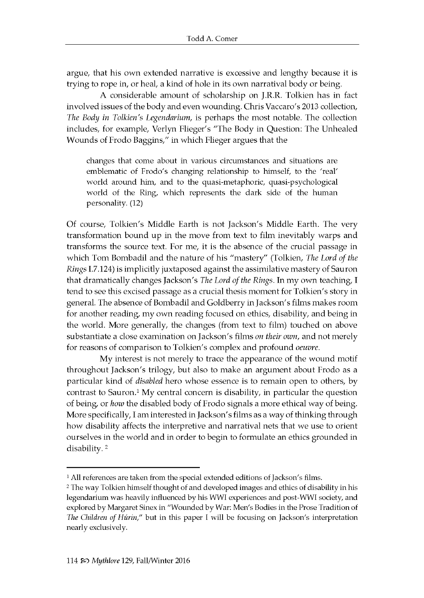argue, that his own extended narrative is excessive and lengthy because it is trying to rope in, or heal, a kind of hole in its own narratival body or being.

A considerable amount of scholarship on J.R.R. Tolkien has in fact involved issues of the body and even wounding. Chris Vaccaro's 2013 collection, *The Body in Tolkien's Legendarium*, is perhaps the most notable. The collection includes, for example, Verlyn Flieger's "The Body in Question: The Unhealed Wounds of Frodo Baggins," in which Flieger argues that the

changes that come about in various circum stances and situations are emblematic of Frodo's changing relationship to himself, to the 'real' world around him, and to the quasi-metaphoric, quasi-psychological world of the Ring, which represents the dark side of the human personality. (12)

Of course, Tolkien's Middle Earth is not Jackson's Middle Earth. The very transformation bound up in the move from text to film inevitably warps and transforms the source text. For me, it is the absence of the crucial passage in which Tom Bombadil and the nature of his "mastery" (Tolkien, The Lord of the *Rings* I.7.124) is implicitly juxtaposed against the assimilative mastery of Sauron that dramatically changes Jackson's *The Lord of the Rings*. In my own teaching, I tend to see this excised passage as a crucial thesis moment for Tolkien's story in general. The absence of Bombadil and Goldberry in Jackson's films makes room for another reading, my own reading focused on ethics, disability, and being in the world. More generally, the changes (from text to film) touched on above substantiate a close examination on Jackson's films on their own, and not merely for reasons of comparison to Tolkien's complex and profound *oeuvre*.

My interest is not merely to trace the appearance of the wound motif throughout Jackson's trilogy, but also to make an argument about Frodo as a particular kind of *disabled* hero whose essence is to remain open to others, by contrast to Sauron.<sup>1</sup> My central concern is disability, in particular the question of being, or *how* the disabled body of Frodo signals a more ethical way of being. More specifically, I am interested in Jackson's films as a way of thinking through how disability affects the interpretive and narratival nets that we use to orient ourselves in the world and in order to begin to formulate an ethics grounded in disability.<sup>2</sup>

<sup>&</sup>lt;sup>1</sup> All references are taken from the special extended editions of Jackson's films.

<sup>2</sup> The way Tolkien himself thought of and developed images and ethics of disability in his legendarium was heavily influenced by his WWI experiences and post-WWI society, and explored by Margaret Sinex in "Wounded by War: Men's Bodies in the Prose Tradition of *The Children of Húrin,"* but in this paper I will be focusing on Jackson's interpretation nearly exclusively.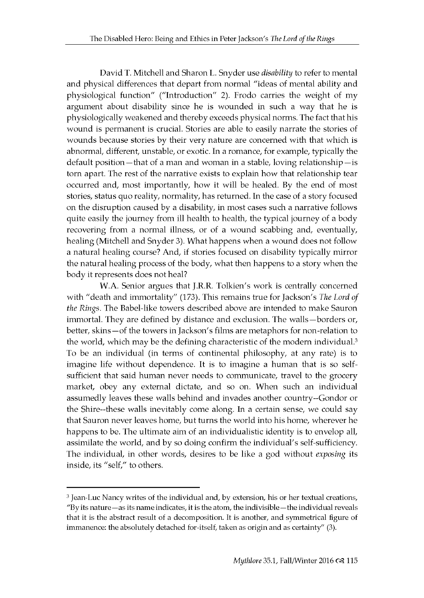David T. Mitchell and Sharon L. Snyder use *disability* to refer to mental and physical differences that depart from normal "ideas of mental ability and physiological function" ("Introduction" 2). Frodo carries the weight of my argument about disability since he is wounded in such a way that he is physiologically weakened and thereby exceeds physical norms. The fact that his wound is permanent is crucial. Stories are able to easily narrate the stories of wounds because stories by their very nature are concerned with that which is abnormal, different, unstable, or exotic. In a romance, for example, typically the default position —that of a man and woman in a stable, loving relationship —is torn apart. The rest of the narrative exists to explain how that relationship tear occurred and, most importantly, how it will be healed. By the end of most stories, status quo reality, normality, has returned. In the case of a story focused on the disruption caused by a disability, in most cases such a narrative follows quite easily the journey from ill health to health, the typical journey of a body recovering from a normal illness, or of a wound scabbing and, eventually, healing (Mitchell and Snyder 3). What happens when a wound does not follow a natural healing course? And, if stories focused on disability typically mirror the natural healing process of the body, what then happens to a story when the body it represents does not heal?

W.A. Senior argues that J.R.R. Tolkien's work is centrally concerned with "death and immortality" (173). This remains true for Jackson's *The Lord of the Rings*. The Babel-like towers described above are intended to make Sauron im m ortal. They are defined by distance and exclusion. The walls-borders or, better, skins - of the towers in Jackson's films are metaphors for non-relation to the world, which may be the defining characteristic of the modern individual.<sup>3</sup> To be an individual (in terms of continental philosophy, at any rate) is to imagine life without dependence. It is to imagine a human that is so selfsufficient that said human never needs to communicate, travel to the grocery market, obey any external dictate, and so on. When such an individual assumedly leaves these walls behind and invades another country--Gondor or the Shire--these walls inevitably come along. In a certain sense, we could say that Sauron never leaves home, but turns the world into his home, wherever he happens to be. The ultimate aim of an individualistic identity is to envelop all, assimilate the world, and by so doing confirm the individual's self-sufficiency. The individual, in other words, desires to be like a god without *exposing* its inside, its "self," to others.

<sup>3</sup> Jean-Luc Nancy writes of the individual and, by extension, his or her textual creations, "By its nature—as its name indicates, it is the atom, the indivisible —the individual reveals that it is the abstract result of a decomposition. It is another, and symmetrical figure of immanence: the absolutely detached for-itself, taken as origin and as certainty" (3).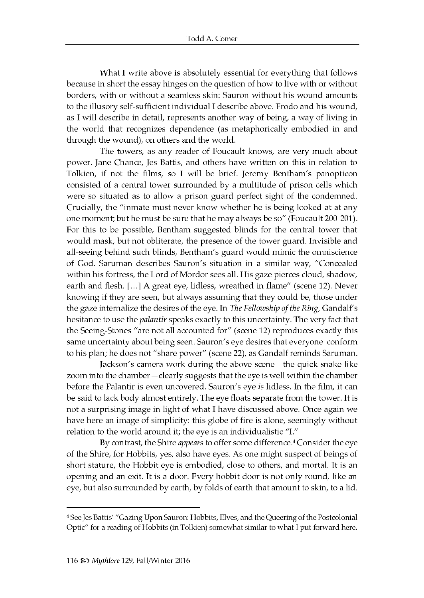What I write above is absolutely essential for every thing that follows because in short the essay hinges on the question of how to live with or without borders, with or without a seamless skin: Sauron without his wound amounts to the illusory self-sufficient individual I describe above. Frodo and his wound, as I will describe in detail, represents another way of being, a way of living in the world that recognizes dependence (as metaphorically embodied in and through the wound), on others and the world.

The towers, as any reader of Foucault knows, are very much about power. Jane Chance, Jes Battis, and others have written on this in relation to Tolkien, if not the films, so I will be brief. Jeremy Bentham's panopticon consisted of a central tower surrounded by a multitude of prison cells which were so situated as to allow a prison guard perfect sight of the condemned. Crucially, the "inmate must never know whether he is being looked at at any one moment; but he must be sure that he may always be so" (Foucault 200-201). For this to be possible, Bentham suggested blinds for the central tower that would mask, but not obliterate, the presence of the tower guard. Invisible and all-seeing behind such blinds, Bentham's guard would mimic the omniscience of God. Saruman describes Sauron's situation in a similar way, "Concealed within his fortress, the Lord of Mordor sees all. His gaze pierces cloud, shadow, earth and flesh. [...] A great eye, lidless, wreathed in flame" (scene 12). Never knowing if they are seen, but always assuming that they could be, those under the gaze internalize the desires of the eye. In *The Fellowship of the Ring*, Gandalf's hesitance to use the *palantir* speaks exactly to this uncertainty. The very fact that the Seeing-Stones "are not all accounted for" (scene 12) reproduces exactly this same uncertainty about being seen. Sauron's eye desires that everyone conform to his plan; he does not "share power" (scene 22), as Gandalf reminds Saruman.

Jackson's camera work during the above scene—the quick snake-like zoom into the chamber—clearly suggests that the eye is well within the chamber before the Palantir is even uncovered. Sauron's eye *is* lidless. In the film, it can be said to lack body almost entirely. The eye floats separate from the tower. It is not a surprising image in light of what I have discussed above. Once again we have here an image of simplicity: this globe of fire is alone, seemingly without relation to the world around it; the eye is an individualistic "I."

By contrast, the Shire *appears* to offer some difference.<sup>4</sup> Consider the eye of the Shire, for Hobbits, yes, also have eyes. As one might suspect of beings of short stature, the Hobbit eye is embodied, close to others, and mortal. It is an opening and an exit. It is a door. Every hobbit door is not only round, like an eye, but also surrounded by earth, by folds of earth that amount to skin, to a lid.

<sup>4</sup> See Jes Battis' "Gazing Upon Sauron: Hobbits, Elves, and the Queering of the Postcolonial Optic" for a reading of Hobbits (in Tolkien) somewhat similar to what I put forward here.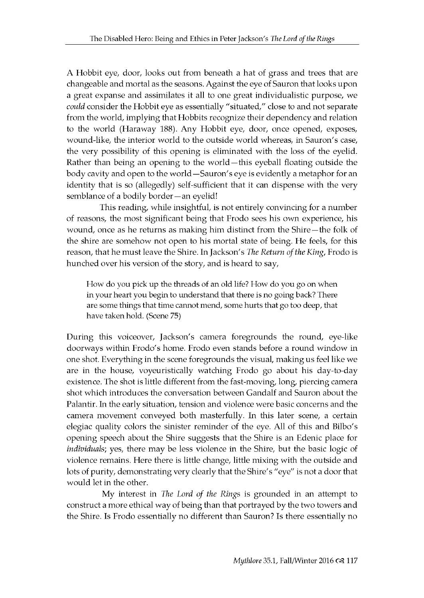A Hobbit eye, door, looks out from beneath a hat of grass and trees that are changeable and mortal as the seasons. Against the eye of Sauron that looks upon a great expanse and assimilates it all to one great individualistic purpose, we *could* consider the Hobbit eye as essentially "situated," close to and not separate from the world, implying that Hobbits recognize their dependency and relation to the world (Haraway 188). Any Hobbit eye, door, once opened, exposes, wound-like, the interior world to the outside world whereas, in Sauron's case, the very possibility of this opening is eliminated with the loss of the eyelid. Rather than being an opening to the world - this eyeball floating outside the body cavity and open to the world - Sauron's eye is evidently a metaphor for an identity that is so (allegedly) self-sufficient that it can dispense with the very semblance of a bodily border - an eyelid!

This reading, while insightful, is not entirely convincing for a number of reasons, the most significant being that Frodo sees his own experience, his wound, once as he returns as making him distinct from the Shire-the folk of the shire are somehow not open to his mortal state of being. He feels, for this reason, that he must leave the Shire. In Jackson's *The Return of the King*, Frodo is hun ched over his version of the story, and is heard to say,

How do you pick up the threads of an old life? How do you go on when in your heart you begin to understand that there is no going back? There are some things that time cannot mend, some hurts that go too deep, that have taken hold. (Scene 75)

During this voiceover, Jackson's camera foregrounds the round, eye-like doorways within Frodo's home. Frodo even stands before a round window in one shot. Every thing in the scene foregrounds the visual, making us feel like we are in the house, voyeuristically watching Frodo go about his day-to-day existence. The shot is little different from the fast-moving, long, piercing camera shot which introduces the conversation between Gandalf and Sauron about the Palantir. In the early situation, tension and violence were basic concerns and the camera movement conveyed both masterfully. In this later scene, a certain elegiac quality colors the sinister reminder of the eye. All of this and Bilbo's opening speech about the Shire suggests that the Shire is an Edenic place for *individuals*; yes, there may be less violence in the Shire, but the basic logic of violence remains. Here there is little change, little mixing with the outside and lots of purity, demonstrating very clearly that the Shire's "eye" is not a door that would let in the other.

My interest in *The Lord of the Rings* is grounded in an attempt to construct a more ethical way of being than that portrayed by the two towers and the Shire. Is Frodo essentially no different than Sauron? Is there essentially no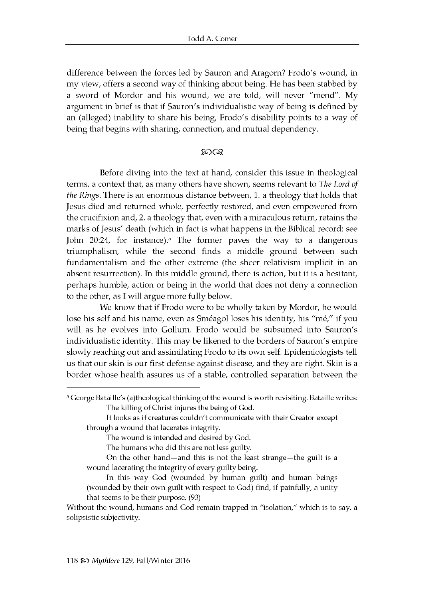difference between the forces led by Sauron and Aragorn? Frodo's wound, in my view, offers a second way of thinking about being. He has been stabbed by a sword of Mordor and his wound, we are told, will never "mend". My argument in brief is that if Sauron's individualistic way of being is defined by an (alleged) inability to share his being, Frodo's disability points to a way of being that begins with sharing, connection, and mutual dependency.

#### ങ്കര

Before diving into the text at hand, consider this issue in theological terms, a context that, as many others have shown, seems relevant to *The Lord of the Rings*. There is an enormous distance between, 1. a theology that holds that Jesus died and returned whole, perfectly restored, and even empowered from the crucifixion and, 2. a theology that, even with a miraculous return, retains the marks of Jesus' death (which in fact is what happens in the Biblical record: see John 20:24, for instance).<sup>5</sup> The former paves the way to a dangerous trium phalism, while the second finds a middle ground between such fundamentalism and the other extreme (the sheer relativism implicit in an absent resurrection). In this middle ground, there is action, but it is a hesitant, perhaps humble, action or being in the world that does not deny a connection to the other, as I will argue more fully below.

We know that if Frodo were to be wholly taken by Mordor, he would lose his self and his name, even as Sméagol loses his identity, his "mé," if you will as he evolves into Gollum. Frodo would be subsumed into Sauron's individualistic identity. This may be likened to the borders of Sauron's empire slowly reaching out and assimilating Frodo to its own self. Epidemiologists tell us that our skin is our first defense against disease, and they are right. Skin is a border whose health assures us of a stable, controlled separation between the

The wound is intended and desired by God.

The humans who did this are not less guilty.

<sup>&</sup>lt;sup>5</sup> George Bataille's (a)theological thinking of the wound is worth revisiting. Bataille writes: The killing of Christ injures the being of God.

It looks as if creatures couldn't communicate w ith their Creator except through a wound that lacerates integrity.

On the other hand—and this is not the least strange—the guilt is a w ound lacerating the integrity of every guilty being.

In this way God (wounded by human guilt) and human beings (wounded by their own guilt with respect to God) find, if painfully, a unity that seems to be their purpose. (93)

Without the wound, humans and God remain trapped in "isolation," which is to say, a solipsistic subjectivity.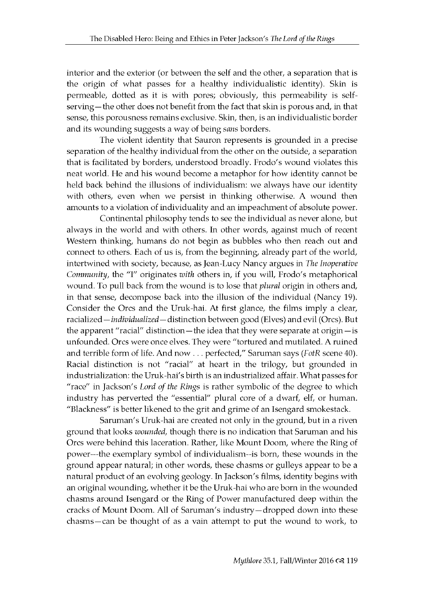interior and the exterior (or between the self and the other, a separation that is the origin of what passes for a healthy individualistic identity). Skin is permeable, dotted as it is with pores; obviously, this permeability is selfserving — the other does not benefit from the fact that skin is porous and, in that sense, this porousness remains exclusive. Skin, then, is an individualistic border and its wounding suggests a way of being *sans* borders.

The violent identity that Sauron represents is grounded in a precise separation of the healthy individual from the other on the outside, a separation that is facilitated by borders, understood broadly. Frodo's wound violates this neat world. He and his wound become a metaphor for how identity cannot be held back behind the illusions of individualism: we always have our identity with others, even when we persist in thinking otherwise. A wound then amounts to a violation of individuality and an impeachment of absolute power.

Continental philosophy tends to see the individual as never alone, but always in the world and with others. In other words, against much of recent Western thinking, humans do not begin as bubbles who then reach out and connect to others. Each of us is, from the beginning, already part of the world, in tertwined with society, because, as Jean-Lucy Nancy argues in *The Inoperative Community,* the "I" originates with others in, if you will, Frodo's metaphorical wound. To pull back from the wound is to lose that *plural* origin in others and, in that sense, decompose back into the illusion of the individual (Nancy 19). Consider the Orcs and the Uruk-hai. At first glance, the films imply a clear, racialized - *individualized* - distinction between good (Elves) and evil (Orcs). But the apparent "racial" distinction — the idea that they were separate at origin — is unfounded. Orcs were once elves. They were "tortured and mutilated. A ruined and terrible form of life. And now . . . perfected," Saruman says (FotR scene 40). Racial distinction is not "racial" at heart in the trilogy, but grounded in industrialization: the Uruk-hai's birth is an industrialized affair. What passes for "race" in Jackson's Lord of the Rings is rather symbolic of the degree to which industry has perverted the "essential" plural core of a dwarf, elf, or human. "B lackness" is better likened to the grit and grime of an Isengard smokestack.

Saruman's Uruk-hai are created not only in the ground, but in a riven ground that looks *wounded*, though there is no indication that Saruman and his Orcs were behind this laceration. Rather, like Mount Doom, where the Ring of power---the exemplary symbol of individualism--is born, these wounds in the ground appear natural; in other words, these chasms or gulleys appear to be a natural product of an evolving geology. In Jackson's films, identity begins with an original wounding, whether it be the Uruk-hai who are born in the wounded chasms around Isengard or the Ring of Power manufactured deep within the cracks of Mount Doom. All of Saruman's industry-dropped down into these chasms-can be thought of as a vain attempt to put the wound to work, to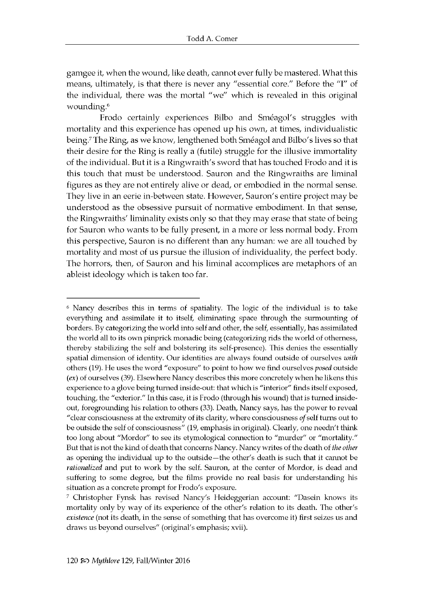gamgee it, when the wound, like death, cannot ever fully be mastered. What this means, ultimately, is that there is never any "essential core." Before the "I" of the individual, there was the mortal "we" which is revealed in this original wounding.<sup>6</sup>

Frodo certainly experiences Bilbo and Sméagol's struggles with mortality and this experience has opened up his own, at times, individualistic being.<sup>7</sup> The Ring, as we know, lengthened both Sméagol and Bilbo's lives so that their desire for the Ring is really a (futile) struggle for the illusive immortality of the individual. But it is a Ringwraith's sword that has touched Frodo and it is this touch that must be understood. Sauron and the Ringwraiths are liminal figures as they are not entirely alive or dead, or embodied in the normal sense. They live in an eerie in-between state. However, Sauron's entire project may be understood as the obsessive pursuit of normative embodiment. In that sense, the Ringwraiths' liminality exists only so that they may erase that state of being for Sauron who wants to be fully present, in a more or less normal body. From this perspective, Sauron is no different than any human: we are all touched by mortality and most of us pursue the illusion of individuality, the perfect body. The horrors, then, of Sauron and his liminal accomplices are metaphors of an ableist ideology which is taken too far.

<sup>6</sup> Nancy describes this in terms of spatiality. The logic of the individual is to take everything and assimilate it to itself, eliminating space through the surmounting of borders. By categorizing the world into self and other, the self, essentially, has assimilated the world all to its own pinprick monadic being (categorizing rids the world of otherness, thereby stabilizing the self and bolstering its self-presence). This denies the essentially spatial dimension of identity. Our identities are always found outside of ourselves *with* others (19). He uses the word "exposure" to point to how we find ourselves *posed* outside *(ex)* of ourselves (39). Elsewhere Nancy describes this more concretely w hen he likens this experience to a glove being turned inside-out: that which is "interior" finds itself exposed, touching, the "exterior." In this case, it is Frodo (through his wound) that is turned insideout, foregrounding his relation to others (33). Death, Nancy says, has the power to reveal "clear consciousness at the extremity of its clarity, where consciousness *of* self turns out to be outside the self of consciousness" (19, emphasis in original). Clearly, one needn't think too long about "Mordor" to see its etymological connection to "murder" or "mortality." But that is not the kind of death that concerns Nancy. Nancy writes of the death of *the other* as opening the individual up to the outside—the other's death is such that it cannot be *rationalized* and put to work by the self. Sauron, at the center of Mordor, is dead and suffering to some degree, but the films provide no real basis for understanding his situation as a concrete prompt for Frodo's exposure.

<sup>7</sup> Christopher Fynsk has revised Nancy's Heideggerian account: "Dasein knows its mortality only by way of its experience of the other's relation to its death. The other's *existence* (not its death, in the sense of something that has overcome it) first seizes us and draws us beyond ourselves" (original's emphasis; xvii).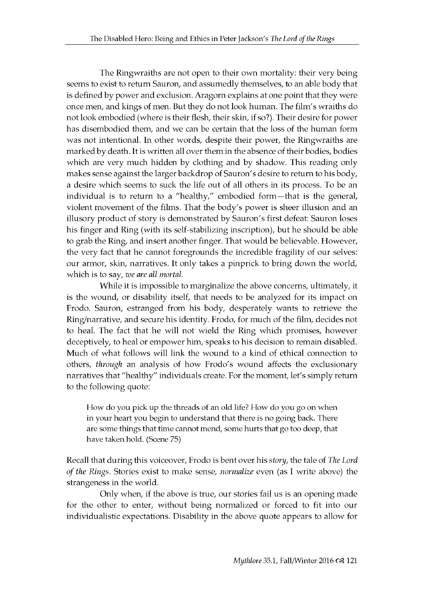The Ringwraiths are not open to their own mortality: their very being seems to exist to return Sauron, and assumedly themselves, to an able body that is defined by power and exclusion. Aragorn explains at one point that they were once men, and kings of men. But they do not look human. The film's wraiths do not look embodied (where is their flesh, their skin, if so?). Their desire for power has disembodied them, and we can be certain that the loss of the human form was not intentional. In other words, despite their power, the Ringwraiths are marked by death. It is written all over them in the absence of their bodies, bodies which are very much hidden by clothing and by shadow. This reading only makes sense against the larger backdrop of Sauron's desire to return to his body, a desire which seems to suck the life out of all others in its process. To be an individual is to return to a "healthy," embodied form-that is the general, violent movement of the films. That the body's power is sheer illusion and an illusory product of story is demonstrated by Sauron's first defeat: Sauron loses his finger and Ring (with its self-stabilizing inscription), but he should be able to grab the Ring, and insert another finger. That would be believable. However, the very fact that he cannot foregrounds the incredible fragility of our selves: our armor, skin, narratives. It only takes a pinprick to bring down the world, which is to say, *we are all mortal*.

While it is impossible to marginalize the above concerns, ultimately, it is the wound, or disability itself, that needs to be analyzed for its impact on Frodo. Sauron, estranged from his body, desperately wants to retrieve the Ring/narrative, and secure his identity. Frodo, for much of the film, decides not to heal. The fact that he will not wield the Ring which promises, however deceptively, to heal or empower him, speaks to his decision to remain disabled. Much of what follows will link the wound to a kind of ethical connection to others, *through* an analysis of how Frodo's wound affects the exclusionary n arratives that "healthy" individuals create. For the moment, let's simply return to the following quote:

How do you pick up the threads of an old life? How do you go on when in your heart you begin to understand that there is no going back. There are some things that time cannot mend, some hurts that go too deep, that have taken hold. (Scene 75)

Recall that during this voiceover, Frodo is bent over his *story*, the tale of *The Lord of the Rings.* Stories exist to make sense, *normalize* even (as I write above) the strangeness in the world.

Only when, if the above is true, our stories fail us is an opening made for the other to enter, without being normalized or forced to fit into our in dividualistic expectations. Disability in the above quote appears to allow for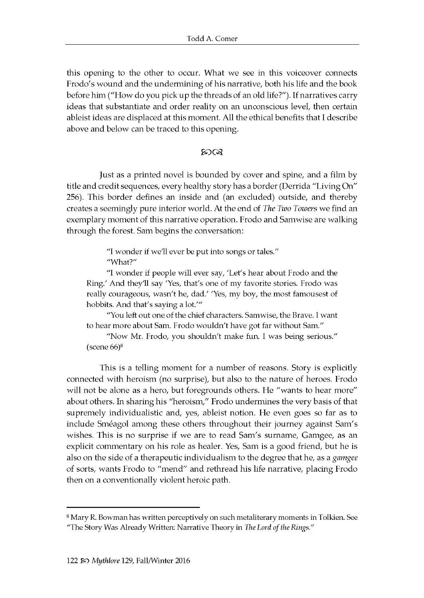this opening to the other to occur. What we see in this voiceover connects Frodo's wound and the undermining of his narrative, both his life and the book before him ("How do you pick up the threads of an old life?"). If narratives carry ideas that substantiate and order reality on an unconscious level, then certain ableist ideas are displaced at this moment. All the ethical benefits that I describe above and below can be traced to this opening.

#### തരു

Just as a printed novel is bounded by cover and spine, and a film by title and credit sequences, every healthy story has a border (Derrida "Living On" 256). This border defines an inside and (an excluded) outside, and thereby creates a seemingly pure interior world. At the end of *The Two Towers* we find an exemplary moment of this narrative operation. Frodo and Samwise are walking through the forest. Sam begins the conversation:

> "I wonder if we'll ever be put into songs or tales." "What?"

"I wonder if people will ever say, 'Let's hear about Frodo and the Ring.' And they'll say 'Yes, that's one of my favorite stories. Frodo was really courageous, wasn't he, dad.' 'Yes, my boy, the most famousest of hobbits. And that's saying a lot.""

"You left out one of the chief characters. Samwise, the Brave. I want to hear more about Sam. Frodo wouldn't have got far without Sam."

"Now Mr. Frodo, you shouldn't make fun. I was being serious." (scene 66)8

This is a telling moment for a number of reasons. Story is explicitly connected with heroism (no surprise), but also to the nature of heroes. Frodo will not be alone as a hero, but foregrounds others. He "wants to hear more" about others. In sharing his "heroism," Frodo undermines the very basis of that supremely individualistic and, yes, ableist notion. He even goes so far as to include Sméagol among these others throughout their journey against Sam's wishes. This is no surprise if we are to read Sam's surname, Gamgee, as an explicit commentary on his role as healer. Yes, Sam is a good friend, but he is also on the side of a therapeutic individualism to the degree that he, as a *gamgee* of sorts, wants Frodo to "mend" and rethread his life narrative, placing Frodo then on a conventionally violent heroic path.

<sup>8</sup> Mary R. Bowman has written perceptively on such metaliterary moments in Tolkien. See "The Story Was Already Written: Narrative Theory in *The Lord of the Rings."*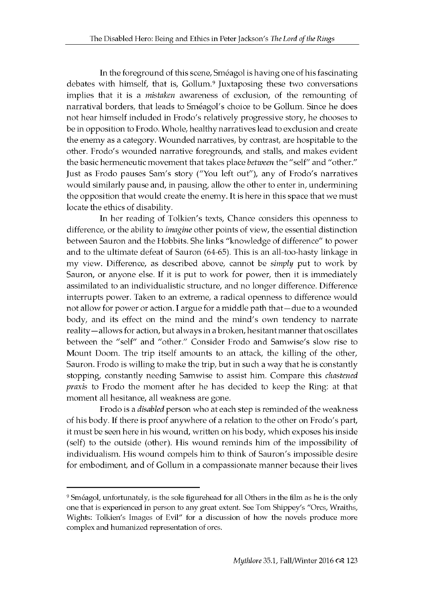In the foreground of this scene, Sméagol is having one of his fascinating debates with himself, that is, Gollum.<sup>9</sup> Juxtaposing these two conversations implies that it is a *mistaken* awareness of exclusion, of the remounting of narratival borders, that leads to Sméagol's choice to be Gollum. Since he does not hear himself included in Frodo's relatively progressive story, he chooses to be in opposition to Frodo. Whole, healthy narratives lead to exclusion and create the enemy as a category. Wounded narratives, by contrast, are hospitable to the other. Frodo's wounded narrative foregrounds, and stalls, and makes evident the basic hermeneutic movement that takes place *between* the "self" and "other." Just as Frodo pauses Sam's story ("You left out"), any of Frodo's narratives would similarly pause and, in pausing, allow the other to enter in, undermining the opposition that would create the enemy. It is here in this space that we must locate the ethics of disability.

In her reading of Tolkien's texts, Chance considers this openness to difference, or the ability to *imagine* other points of view, the essential distinction between Sauron and the Hobbits. She links "knowledge of difference" to power and to the ultimate defeat of Sauron (64-65). This is an all-too-hasty linkage in my view. Difference, as described above, cannot be *simply* put to work by Sauron, or anyone else. If it is put to work for power, then it is immediately assimilated to an individualistic structure, and no longer difference. Difference interrupts power. Taken to an extreme, a radical openness to difference would not allow for power or action. I argue for a middle path that — due to a wounded body, and its effect on the mind and the mind's own tendency to narrate reality -allows for action, but always in a broken, hesitant manner that oscillates between the "self" and "other." Consider Frodo and Samwise's slow rise to Mount Doom. The trip itself amounts to an attack, the killing of the other, Sauron. Frodo is willing to make the trip, but in such a way that he is constantly stopping, constantly needing Samwise to assist him. Compare this *chastened praxis* to Frodo the moment after he has decided to keep the Ring: at that moment all hesitance, all weakness are gone.

Frodo is a *disabled* person who at each step is reminded of the weakness of his body. If there is proof anywhere of a relation to the other on Frodo's part, it must be seen here in his wound, written on his body, which exposes his inside (self) to the outside (other). His wound reminds him of the impossibility of individualism. His wound compels him to think of Sauron's impossible desire for embodiment, and of Gollum in a compassionate manner because their lives

<sup>9</sup> Sméagol, unfortunately, is the sole figurehead for all Others in the film as he is the only one that is experienced in person to any great extent. See Tom Shippey's "Orcs, Wraiths, Wights: Tolkien's Images of Evil" for a discussion of how the novels produce more complex and humanized representation of orcs.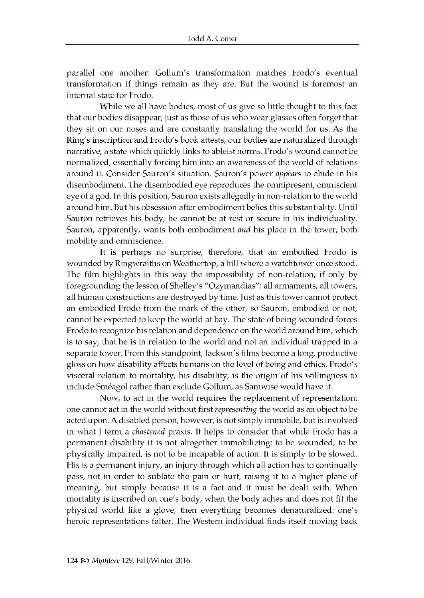parallel one another: Gollum's transformation matches Frodo's eventual transformation if things remain as they are. But the wound is foremost an in tern al state for Frodo.

While we all have bodies, most of us give so little thought to this fact that our bodies disappear, just as those of us who wear glasses often forget that they sit on our noses and are constantly translating the world for us. As the Ring's inscription and Frodo's book attests, our bodies are naturalized through n arrative, a state which quickly links to ableist norms. Frodo's wound cannot be normalized, essentially forcing him into an awareness of the world of relations around it. Consider Sauron's situation. Sauron's power *appears* to abide in his disembodiment. The disembodied eye reproduces the omnipresent, omniscient eye of a god. In this position, Sauron exists allegedly in non-relation to the world around him. But his obsession after embodiment belies this substantiality. Until Sauron retrieves his body, he cannot be at rest or secure in his individuality. Sauron, apparently, wants both embodiment *and* his place in the tower, both mobility and omniscience.

It is perhaps no surprise, therefore, that an embodied Frodo is wounded by Ringwraiths on Weathertop, a hill where a watchtower once stood. The film highlights in this way the impossibility of non-relation, if only by foregrounding the lesson of Shelley's "Ozymandias": all armaments, all towers, all human constructions are destroyed by time. Just as this tower cannot protect an embodied Frodo from the mark of the other, so Sauron, embodied or not, can not be expected to keep the world at bay. The state of being wounded forces Frodo to recognize his relation and dependence on the world around him, which is to say, that he is in relation to the world and not an individual trapped in a separate tower. From this stand point, Jackson's films become a long, productive gloss on how disability affects humans on the level of being and ethics. Frodo's visceral relation to mortality, his disability, is the origin of his willingness to include Sméagol rather than exclude Gollum, as Samwise would have it.

Now, to act in the world requires the replacement of representation: one cannot act in the world without first *representing* the world as an object to be acted upon. A disabled person, however, is not simply immobile, but is involved in what I term a *chastened* praxis. It helps to consider that while Frodo has a permanent disability it is not altogether im mobilizing: to be wounded, to be physically impaired, is not to be incapable of action. It is simply to be slowed. His is a permanent injury, an injury through which all action has to continually pass, not in order to sublate the pain or hurt, raising it to a higher plane of meaning, but simply because it is a fact and it must be dealt with. When mortality is inscribed on one's body, when the body aches and does not fit the physical world like a glove, then every thing becomes denaturalized: one's heroic representations falter. The Western individual finds itself moving back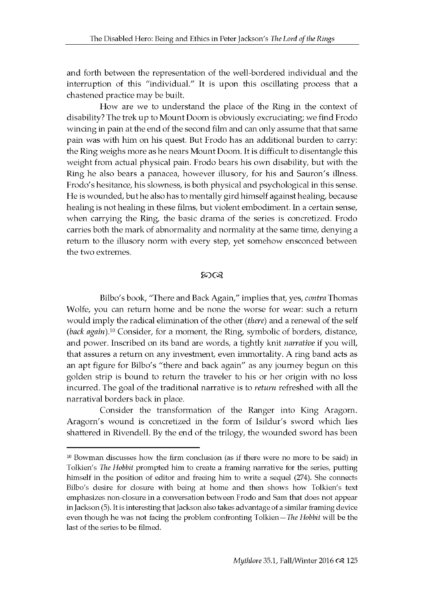and forth between the representation of the well-bordered individual and the interruption of this "individual." It is upon this oscillating process that a chastened practice may be built.

How are we to understand the place of the Ring in the context of disability? The trek up to Mount Doom is obviously excruciating; we find Frodo wincing in pain at the end of the second film and can only assume that that same pain was with him on his quest. But Frodo has an additional burden to carry: the Ring weighs more as he nears Mount Doom. It is difficult to disentangle this weight from actual physical pain. Frodo bears his own disability, but with the Ring he also bears a panacea, however illusory, for his and Sauron's illness. Frodo's hesitance, his slowness, is both physical and psychological in this sense. He is wounded, but he also has to mentally gird himself against healing, because healing is not healing in these films, but violent embodiment. In a certain sense, when carrying the Ring, the basic drama of the series is concretized. Frodo carries both the mark of abnormality and normality at the same time, denying a return to the illusory norm with every step, yet somehow ensconced between the two extremes.

#### തരു

Bilbo's book, "There and Back Again," implies that, yes, *contra* Thomas Wolfe, you can return home and be none the worse for wear: such a return would imply the radical elimination of the other (there) and a renewal of the self (back again).<sup>10</sup> Consider, for a moment, the Ring, symbolic of borders, distance, and power. Inscribed on its band are words, a tightly knit *narrative* if you will, that assures a return on any investment, even immortality. A ring band acts as an apt figure for Bilbo's "there and back again" as any journey begun on this golden strip is bound to return the traveler to his or her origin with no loss incurred. The goal of the traditional narrative is to *return* refreshed with all the narratival borders back in place.

Consider the transformation of the Ranger into King Aragorn. Aragorn's wound is concretized in the form of Isildur's sword which lies shattered in Rivendell. By the end of the trilogy, the wounded sword has been

<sup>10</sup> Bowman discusses how the firm conclusion (as if there were no more to be said) in Tolkien's *The Hobbit* prompted him to create a framing narrative for the series, putting himself in the position of editor and freeing him to write a sequel (274). She connects Bilbo's desire for closure with being at home and then shows how Tolkien's text emphasizes non-closure in a conversation between Frodo and Sam that does not appear in Jackson (5). It is interesting that Jackson also takes advantage of a similar framing device even though he was not facing the problem confronting Tolkien*—The Hobbit* will be the last of the series to be filmed.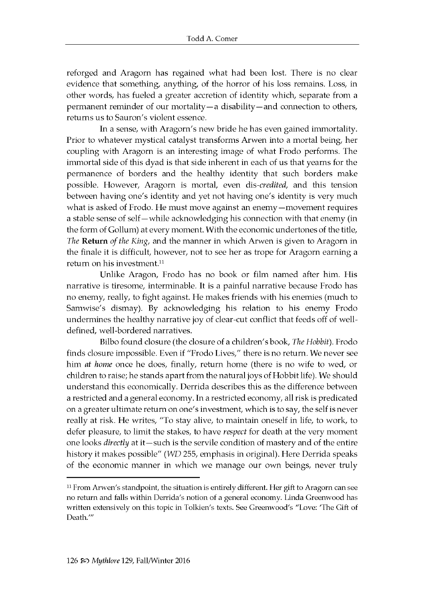reforged and Aragorn has regained what had been lost. There is no clear evidence that something, anything, of the horror of his loss remains. Loss, in other words, has fueled a greater accretion of identity which, separate from a permanent reminder of our mortality — a disability — and connection to others, returns us to Sauron's violent essence.

In a sense, with Aragorn's new bride he has even gained immortality. Prior to whatever mystical catalyst transforms Arwen into a mortal being, her coupling with Aragorn is an interesting image of what Frodo performs. The im m ortal side of this dyad is that side inherent in each of us that yearns for the permanence of borders and the healthy identity that such borders make possible. However, Aragorn is mortal, even dis-credited, and this tension between having one's identity and yet not having one's identity is very much what is asked of Frodo. He must move against an enemy - movement requires a stable sense of self—while acknowledging his connection with that enemy (in the form of Gollum) at every moment. With the economic undertones of the title, *The* Return *of the King*, and the manner in which Arwen is given to Aragorn in the finale it is difficult, however, not to see her as trope for Aragorn earning a return on his investment.<sup>11</sup>

Unlike Aragon, Frodo has no book or film named after him. His narrative is tiresome, interminable. It is a painful narrative because Frodo has no enemy, really, to fight against. He makes friends with his enemies (much to Samwise's dismay). By acknowledging his relation to his enemy Frodo undermines the healthy narrative joy of clear-cut conflict that feeds off of welldefined, well-bordered narratives.

Bilbo found closure (the closure of a children's book, *The Hobbit*). Frodo finds closure impossible. Even if "Frodo Lives," there is no return. We never see him *at home* once he does, finally, return home (there is no wife to wed, or child ren to raise; he stands a part from the natural joys of Hobbit life). We should understand this economically. Derrida describes this as the difference between a restricted and a general economy. In a restricted economy, all risk is predicated on a greater ultimate return on one's investment, which is to say, the self is never really at risk. He writes, "To stay alive, to maintain oneself in life, to work, to defer pleasure, to limit the stakes, to have *respect* for death at the very moment one looks *directly* at it-such is the servile condition of mastery and of the entire history it makes possible" *(WD 255, emphasis in original)*. Here Derrida speaks of the economic manner in which we manage our own beings, never truly

 $11$  From Arwen's standpoint, the situation is entirely different. Her gift to Aragorn can see no return and falls within Derrida's notion of a general economy. Linda Greenwood has w ritten extensively on this topic in Tolkien's texts. See Greenwood's "Love: 'The Gift of Death.'"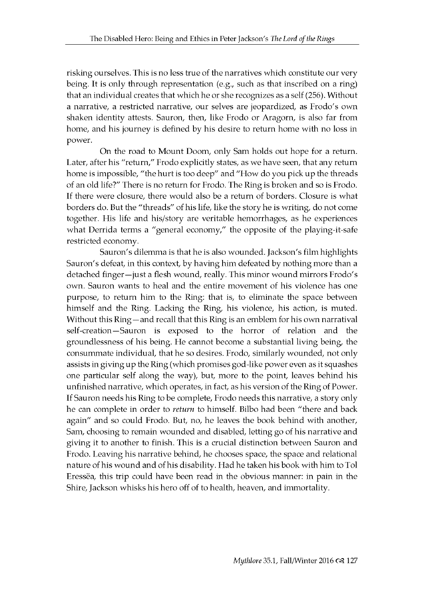risking ourselves. This is no less true of the narratives which constitute our very being. It is only through representation (e.g., such as that inscribed on a ring) that an individual creates that which he or she recognizes as a self (256). Without a narrative, a restricted narrative, our selves are jeopardized, as Frodo's own shaken identity attests. Sauron, then, like Frodo or Aragorn, is also far from home, and his journey is defined by his desire to return home with no loss in power.

On the road to Mount Doom, only Sam holds out hope for a return. Later, after his "return," Frodo explicitly states, as we have seen, that any return home is impossible, "the hurt is too deep" and "How do you pick up the threads of an old life?" There is no return for Frodo. The Ring is broken and so is Frodo. If there were closure, there would also be a return of borders. Closure is what borders do. But the "threads" of his life, like the story he is writing, do not come together. His life and his/story are veritable hemorrhages, as he experiences what Derrida terms a "general economy," the opposite of the playing-it-safe restricted economy.

Sauron's dilemma is that he is also wounded. Jackson's film highlights Sauron's defeat, in this context, by having him defeated by nothing more than a detached finger—just a flesh wound, really. This minor wound mirrors Frodo's own. Sauron wants to heal and the entire movement of his violence has one purpose, to return him to the Ring: that is, to eliminate the space between himself and the Ring. Lacking the Ring, his violence, his action, is muted. Without this Ring —and recall that this Ring is an emblem for his own narratival self-creation—Sauron is exposed to the horror of relation and the groundlessness of his being. He cannot become a substantial living being, the consummate individual, that he so desires. Frodo, similarly wounded, not only assists in giving up the Ring (which promises god-like power even as it squashes one particular self along the way), but, more to the point, leaves behind his un finished narrative, which operates, in fact, as his version of the Ring of Power. If Sauron needs his Ring to be complete, Frodo needs this narrative, a story only he can complete in order to *return* to himself. Bilbo had been "there and back again" and so could Frodo. But, no, he leaves the book behind with another, Sam, choosing to remain wounded and disabled, letting go of his narrative and giving it to another to finish. This is a crucial distinction between Sauron and Frodo. Leaving his narrative behind, he chooses space, the space and relational nature of his wound and of his disability. Had he taken his book with him to Tol Eressea, this trip could have been read in the obvious manner: in pain in the Shire, Jackson whisks his hero off of to health, heaven, and immortality.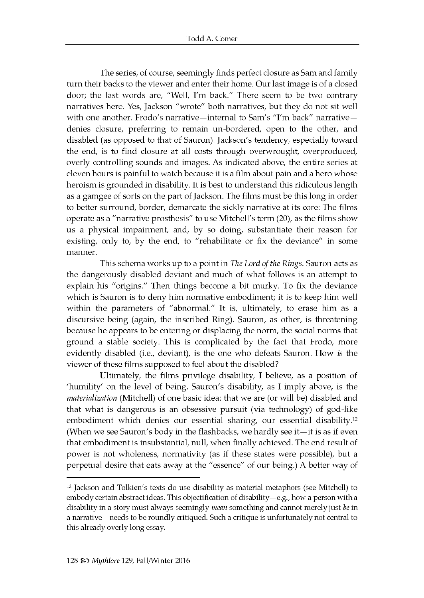The series, of course, seemingly finds perfect closure as Sam and family turn their backs to the viewer and enter their home. Our last image is of a closed door; the last words are, "Well, I'm back." There seem to be two contrary narratives here. Yes, Jackson "wrote" both narratives, but they do not sit well with one another. Frodo's narrative-internal to Sam's "I'm back" narrativedenies closure, preferring to remain un-bordered, open to the other, and disabled (as opposed to that of Sauron). Jackson's tendency, especially toward the end, is to find closure at all costs through overwrought, overproduced, overly controlling sounds and images. As indicated above, the entire series at eleven hours is painful to watch because it is a film about pain and a hero whose heroism is grounded in disability. It is best to understand this ridiculous length as a gamgee of sorts on the part of Jackson. The films must be this long in order to better surround, border, demarcate the sickly narrative at its core: The films operate as a "narrative prosthesis" to use Mitchell's term (20), as the films show us a physical impairment, and, by so doing, substantiate their reason for existing, only to, by the end, to "rehabilitate or fix the deviance" in some manner.

This schema works up to a point in *The Lord of the Rings*. Sauron acts as the dangerously disabled deviant and much of what follows is an attempt to explain his "origins." Then things become a bit murky. To fix the deviance which is Sauron is to deny him normative embodiment; it is to keep him well within the parameters of "abnormal." It is, ultimately, to erase him as a discursive being (again, the inscribed Ring). Sauron, as other, is threatening because he appears to be entering or displacing the norm, the social norms that ground a stable society. This is complicated by the fact that Frodo, more evidently disabled (i.e., deviant), is the one who defeats Sauron. How *is* the viewer of these films supposed to feel about the disabled?

Ultimately, the films privilege disability, I believe, as a position of 'humility' on the level of being. Sauron's disability, as I imply above, is the *materialization* (Mitchell) of one basic idea: that we are (or will be) disabled and that what is dangerous is an obsessive pursuit (via technology) of god-like embodiment which denies our essential sharing, our essential disability.<sup>12</sup> (When we see Sauron's body in the flashbacks, we hardly see it $-i$ t is as if even that embodiment is insubstantial, null, when finally achieved. The end result of power is not wholeness, normativity (as if these states were possible), but a perpetual desire that eats away at the "essence" of our being.) A better way of

<sup>&</sup>lt;sup>12</sup> Jackson and Tolkien's texts do use disability as material metaphors (see Mitchell) to embody certain abstract ideas. This objectification of disability-e.g., how a person with a disability in a story must always seemingly *mean* something and cannot merely just *be* in a narrative—needs to be roundly critiqued. Such a critique is unfortunately not central to this already overly long essay.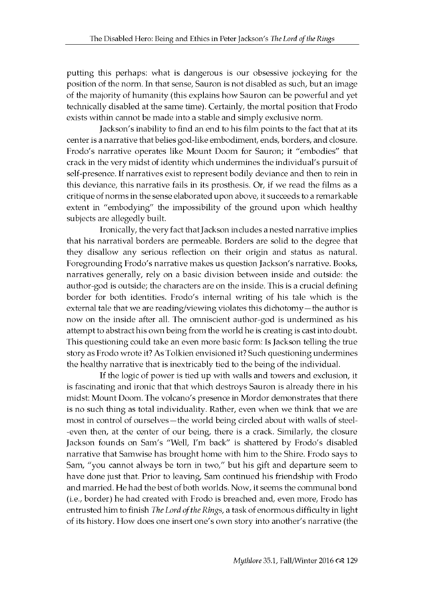putting this perhaps: what is dangerous is our obsessive jockeying for the position of the norm. In that sense, Sauron is not disabled as such, but an image of the majority of humanity (this explains how Sauron can be powerful and yet technically disabled at the same time). Certainly, the mortal position that Frodo exists within cannot be made into a stable and simply exclusive norm.

Jackson's inability to find an end to his film points to the fact that at its center is a narrative that belies god-like embodiment, ends, borders, and closure. Frodo's narrative operates like Mount Doom for Sauron; it "embodies" that crack in the very midst of identity which undermines the individual's pursuit of self-presence. If narratives exist to represent bodily deviance and then to rein in this deviance, this narrative fails in its prosthesis. Or, if we read the films as a critique of norms in the sense elaborated upon above, it succeeds to a remarkable extent in "embodying" the impossibility of the ground upon which healthy subjects are allegedly built.

Ironically, the very fact that Jackson includes a nested narrative implies that his narratival borders are permeable. Borders are solid to the degree that they disallow any serious reflection on their origin and status as natural. Foregrounding Frodo's narrative makes us question Jackson's narrative. Books, narratives generally, rely on a basic division between inside and outside: the author-god is outside; the characters are on the inside. This is a crucial defining border for both identities. Frodo's internal writing of his tale which is the external tale that we are reading/viewing violates this dichotomy-the author is now on the inside after all. The omniscient author-god is undermined as his attempt to abstract his own being from the world he is creating is cast into doubt. This questioning could take an even more basic form: Is Jackson telling the true story as Frodo wrote it? As Tolkien envisioned it? Such questioning undermines the healthy narrative that is inextricably tied to the being of the individual.

If the logic of power is tied up with walls and towers and exclusion, it is fascinating and ironic that that which destroys Sauron is already there in his midst: Mount Doom. The volcano's presence in Mordor demonstrates that there is no such thing as total individuality. Rather, even when we think that we are most in control of ourselves—the world being circled about with walls of steel--even then, at the center of our being, there is a crack. Similarly, the closure Jackson founds on Sam's "Well, I'm back" is shattered by Frodo's disabled narrative that Samwise has brought home with him to the Shire. Frodo says to Sam, "you cannot always be torn in two," but his gift and departure seem to have done just that. Prior to leaving, Sam continued his friendship with Frodo and married. He had the best of both worlds. Now, it seems the communal bond (i.e., border) he had created with Frodo is breached and, even more, Frodo has entrusted him to finish *The Lord of the Rings*, a task of enormous difficulty in light of its history. How does one insert one's own story into another's narrative (the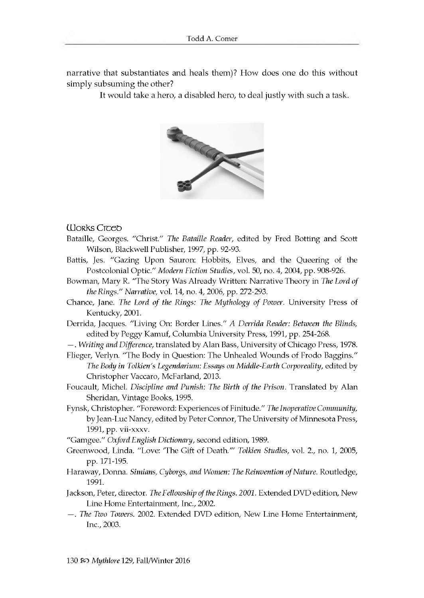n arrative that substantiates and heals them)? How does one do this without simply sub suming the other?

It would take a hero, a disabled hero, to deal justly with such a task.



#### **Works Creep**

- Bataille, Georges. "Christ." *The Bataille Reader,* edited by Fred Botting and Scott Wilson, Blackwell Publisher, 1997, pp. 92-93.
- Battis, Jes. "Gazing Upon Sauron: Hobbits, Elves, and the Queering of the Postcolonial Optic." *Modern Fiction Studies*, vol. 50, no. 4, 2004, pp. 908-926.
- Bowman, Mary R. "The Story Was Already Written: Narrative Theory in *The Lord of the Rings." Narrative,* vol. 14, no. 4, 2006, pp. 272-293.
- Chance, Jane. *The Lord of the Rings: The Mythology of Power.* University Press of Kentucky, 2001.
- Derrida, Jacques. "Living On: Border Lines." A Derrida Reader: Between the Blinds, edited by Peggy Kamuf, Columbia University Press, 1991, pp. 254-268.
- —. *Writing and Difference,* translated by A lan Bass, University of Chicago Press, 1978.
- Flieger, Verlyn. "The Body in Question: The Unhealed Wounds of Frodo Baggins." *The Body in Tolkien's Legendarium: Essays on Middle-Earth Corporeality,* edited by Christopher Vaccaro, McFarland, 2013.
- Foucault, Michel. *Discipline and Punish: The Birth of the Prison*. Translated by Alan Sheridan, Vintage Books, 1995.
- Fynsk, Christopher. "Foreword: Experiences of Finitude." *The Inoperative Community,* by Jean-Luc Nancy, edited by Peter Connor, The University of Minnesota Press, 1991, pp. vii-xxxv.

"Gamgee." Oxford English Dictionary, second edition, 1989.

- Greenwood, Linda. "Love: 'The Gift of Death."" *Tolkien Studies*, vol. 2., no. 1, 2005, pp. 171-195.
- Haraway, Donna. *Simians, Cyborgs, and Women: The Reinvention of Nature*. Routledge, 1991.
- Jackson, Peter, director. *The Fellowship of the Rings. 2001*. Extended DVD edition, New Line Home Entertainment, Inc., 2002.
- -. The Two Towers. 2002. Extended DVD edition, New Line Home Entertainment, Inc., 2003.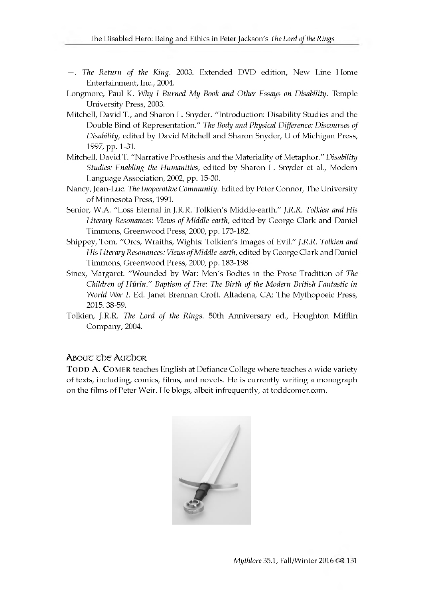- -. The Return of the King. 2003. Extended DVD edition, New Line Home Entertainment, Inc., 2004.
- Longmore, Paul K. *Why I Burned My Book and Other Essays on Disability*. Temple University Press, 2003.
- Mitchell, David T., and Sharon L. Snyder. "Introduction: Disability Studies and the Double Bind of R epresentation." *The Body and Physical Difference: Discourses of Disability*, edited by David Mitchell and Sharon Snyder, U of Michigan Press, 1997, pp. 1-31.
- Mitchell, David T. "Narrative Prosthesis and the Materiality of Metaphor." Disability *Studies: Enabling the Humanities,* edited by Sharon L. Snyder et al., Modern Language Association, 2002, pp. 15-30.
- Nancy, Jean-Luc. *The Inoperative Community*. Edited by Peter Connor, The University of Minnesota Press, 1991.
- Senior, W.A. "Loss Eternal in J.R.R. Tolkien's Middle-earth." *J.R.R. Tolkien and His Literary Resonances: Views of Middle-earth,* edited by George Clark and Daniel Timmons, Greenwood Press, 2000, pp. 173-182.
- Shippey, Tom. "Orcs, W raiths, Wights: Tolkien's Images of Evil." *J.R.R. Tolkien and His Literary Resonances: Views of Middle-earth,* edited by George Clark and Daniel Timmons, Greenwood Press, 2000, pp. 183-198.
- Sinex, Margaret. "Wounded by War: Men's Bodies in the Prose Tradition of *The Children of Hurin." Baptism of Fire: The Birth of the Modern British Fantastic in World War I. Ed. Janet Brennan Croft. Altadena, CA: The Mythopoeic Press,* 2015. 38-59.
- Tolkien, J.R.R. *The Lord of the Rings*. 50th Anniversary ed., Houghton Mifflin Company, 2004.

#### A bou c the Auchor

TODD A. COMER teaches English at Defiance College where teaches a wide variety of texts, including, comics, films, and novels. He is currently w riting a m onograph on the films of Peter Weir. He blogs, albeit infrequently, at toddcomer.com.